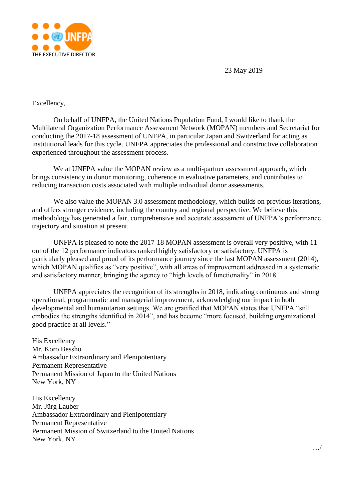

23 May 2019

## Excellency,

On behalf of UNFPA, the United Nations Population Fund, I would like to thank the Multilateral Organization Performance Assessment Network (MOPAN) members and Secretariat for conducting the 2017-18 assessment of UNFPA, in particular Japan and Switzerland for acting as institutional leads for this cycle. UNFPA appreciates the professional and constructive collaboration experienced throughout the assessment process.

We at UNFPA value the MOPAN review as a multi-partner assessment approach, which brings consistency in donor monitoring, coherence in evaluative parameters, and contributes to reducing transaction costs associated with multiple individual donor assessments.

We also value the MOPAN 3.0 assessment methodology, which builds on previous iterations, and offers stronger evidence, including the country and regional perspective. We believe this methodology has generated a fair, comprehensive and accurate assessment of UNFPA's performance trajectory and situation at present.

UNFPA is pleased to note the 2017-18 MOPAN assessment is overall very positive, with 11 out of the 12 performance indicators ranked highly satisfactory or satisfactory. UNFPA is particularly pleased and proud of its performance journey since the last MOPAN assessment (2014), which MOPAN qualifies as "very positive", with all areas of improvement addressed in a systematic and satisfactory manner, bringing the agency to "high levels of functionality" in 2018.

UNFPA appreciates the recognition of its strengths in 2018, indicating continuous and strong operational, programmatic and managerial improvement, acknowledging our impact in both developmental and humanitarian settings. We are gratified that MOPAN states that UNFPA "still embodies the strengths identified in 2014", and has become "more focused, building organizational good practice at all levels."

His Excellency Mr. Koro Bessho Ambassador Extraordinary and Plenipotentiary Permanent Representative Permanent Mission of Japan to the United Nations New York, NY

His Excellency Mr. Jürg Lauber Ambassador Extraordinary and Plenipotentiary Permanent Representative Permanent Mission of Switzerland to the United Nations New York, NY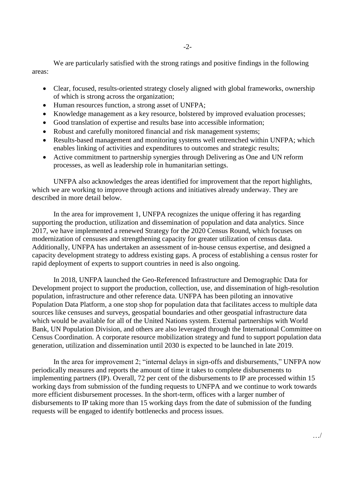We are particularly satisfied with the strong ratings and positive findings in the following areas:

- Clear, focused, results-oriented strategy closely aligned with global frameworks, ownership of which is strong across the organization;
- Human resources function, a strong asset of UNFPA;
- Knowledge management as a key resource, bolstered by improved evaluation processes;
- Good translation of expertise and results base into accessible information;
- Robust and carefully monitored financial and risk management systems;
- Results-based management and monitoring systems well entrenched within UNFPA; which enables linking of activities and expenditures to outcomes and strategic results;
- Active commitment to partnership synergies through Delivering as One and UN reform processes, as well as leadership role in humanitarian settings.

UNFPA also acknowledges the areas identified for improvement that the report highlights, which we are working to improve through actions and initiatives already underway. They are described in more detail below.

In the area for improvement 1, UNFPA recognizes the unique offering it has regarding supporting the production, utilization and dissemination of population and data analytics. Since 2017, we have implemented a renewed Strategy for the 2020 Census Round, which focuses on modernization of censuses and strengthening capacity for greater utilization of census data. Additionally, UNFPA has undertaken an assessment of in-house census expertise, and designed a capacity development strategy to address existing gaps. A process of establishing a census roster for rapid deployment of experts to support countries in need is also ongoing.

In 2018, UNFPA launched the Geo-Referenced Infrastructure and Demographic Data for Development project to support the production, collection, use, and dissemination of high-resolution population, infrastructure and other reference data. UNFPA has been piloting an innovative Population Data Platform, a one stop shop for population data that facilitates access to multiple data sources like censuses and surveys, geospatial boundaries and other geospatial infrastructure data which would be available for all of the United Nations system. External partnerships with World Bank, UN Population Division, and others are also leveraged through the International Committee on Census Coordination. A corporate resource mobilization strategy and fund to support population data generation, utilization and dissemination until 2030 is expected to be launched in late 2019.

In the area for improvement 2; "internal delays in sign-offs and disbursements," UNFPA now periodically measures and reports the amount of time it takes to complete disbursements to implementing partners (IP). Overall, 72 per cent of the disbursements to IP are processed within 15 working days from submission of the funding requests to UNFPA and we continue to work towards more efficient disbursement processes. In the short-term, offices with a larger number of disbursements to IP taking more than 15 working days from the date of submission of the funding requests will be engaged to identify bottlenecks and process issues.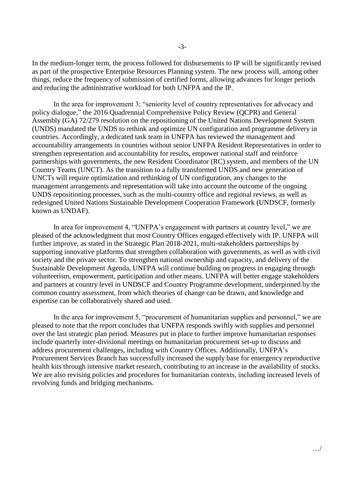In the medium-longer term, the process followed for disbursements to IP will be significantly revised as part of the prospective Enterprise Resources Planning system. The new process will, among other things, reduce the frequency of submission of certified forms, allowing advances for longer periods and reducing the administrative workload for both UNFPA and the IP.

In the area for improvement 3; "seniority level of country representatives for advocacy and policy dialogue," the 2016 Quadrennial Comprehensive Policy Review (QCPR) and General Assembly (GA) 72/279 resolution on the repositioning of the United Nations Development System (UNDS) mandated the UNDS to rethink and optimize UN configuration and programme delivery in countries. Accordingly, a dedicated task team in UNFPA has reviewed the management and accountability arrangements in countries without senior UNFPA Resident Representatives in order to strengthen representation and accountability for results, empower national staff and reinforce partnerships with governments, the new Resident Coordinator (RC) system, and members of the UN Country Teams (UNCT). As the transition to a fully transformed UNDS and new generation of UNCTs will require optimization and rethinking of UN configuration, any changes to the management arrangements and representation will take into account the outcome of the ongoing UNDS repositioning processes, such as the multi-country office and regional reviews, as well as redesigned United Nations Sustainable Development Cooperation Framework (UNDSCF, formerly known as UNDAF).

In area for improvement 4, "UNFPA's engagement with partners at country level," we are pleased of the acknowledgment that most Country Offices engaged effectively with IP. UNFPA will further improve, as stated in the Strategic Plan 2018-2021, multi-stakeholders partnerships by supporting innovative platforms that strengthen collaboration with governments, as well as with civil society and the private sector. To strengthen national ownership and capacity, and delivery of the Sustainable Development Agenda, UNFPA will continue building on progress in engaging through volunteerism, empowerment, participation and other means. UNFPA will better engage stakeholders and partners at country level in UNDSCF and Country Programme development, underpinned by the common country assessment, from which theories of change can be drawn, and knowledge and expertise can be collaboratively shared and used.

In the area for improvement 5, "procurement of humanitarian supplies and personnel," we are pleased to note that the report concludes that UNFPA responds swiftly with supplies and personnel over the last strategic plan period. Measures put in place to further improve humanitarian responses include quarterly inter-divisional meetings on humanitarian procurement set-up to discuss and address procurement challenges, including with Country Offices. Additionally, UNFPA's Procurement Services Branch has successfully increased the supply base for emergency reproductive health kits through intensive market research, contributing to an increase in the availability of stocks. We are also revising policies and procedures for humanitarian contexts, including increased levels of revolving funds and bridging mechanisms.